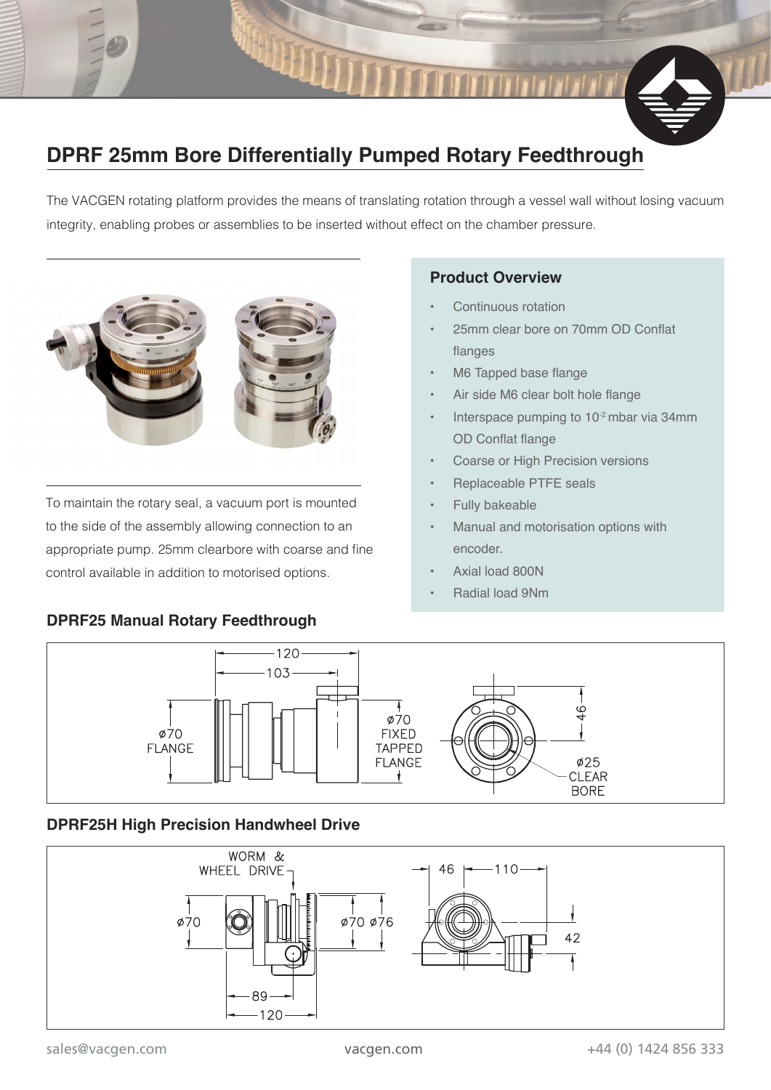# **DPRF 25mm Bore Differentially Pumped Rotary Feedthrough**

The VACGEN rotating platform provides the means of translating rotation through a vessel wall without losing vacuum integrity, enabling probes or assemblies to be inserted without effect on the chamber pressure.



To maintain the rotary seal, a vacuum port is mounted to the side of the assembly allowing connection to an appropriate pump. 25mm clearbore with coarse and fine control available in addition to motorised options.

#### **DPRF25 Manual Rotary Feedthrough**

#### **Product Overview**

- Continuous rotation
- 25mm clear bore on 70mm OD Conflat flanges
- M6 Tapped base flange
- Air side M6 clear bolt hole flange
- Interspace pumping to 10-2 mbar via 34mm OD Conflat flange
- Coarse or High Precision versions
- Replaceable PTFE seals
- Fully bakeable
- Manual and motorisation options with encoder.
- Axial load 800N
- Radial load 9Nm



#### **DPRF25H High Precision Handwheel Drive**